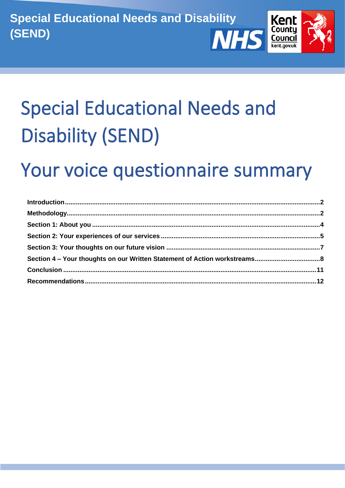

# **Special Educational Needs and Disability (SEND)**

## Your voice questionnaire summary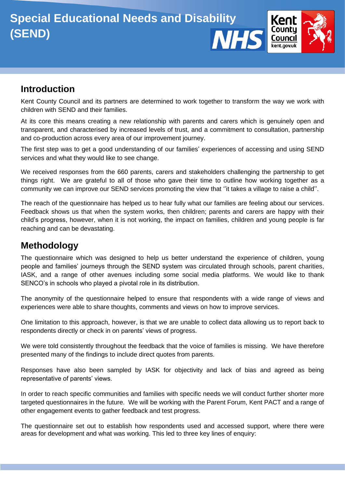

## <span id="page-1-0"></span>**Introduction**

Kent County Council and its partners are determined to work together to transform the way we work with children with SEND and their families.

At its core this means creating a new relationship with parents and carers which is genuinely open and transparent, and characterised by increased levels of trust, and a commitment to consultation, partnership and co-production across every area of our improvement journey.

The first step was to get a good understanding of our families' experiences of accessing and using SEND services and what they would like to see change.

We received responses from the 660 parents, carers and stakeholders challenging the partnership to get things right. We are grateful to all of those who gave their time to outline how working together as a community we can improve our SEND services promoting the view that ''it takes a village to raise a child''.

The reach of the questionnaire has helped us to hear fully what our families are feeling about our services. Feedback shows us that when the system works, then children; parents and carers are happy with their child's progress, however, when it is not working, the impact on families, children and young people is far reaching and can be devastating.

## <span id="page-1-1"></span>**Methodology**

The questionnaire which was designed to help us better understand the experience of children, young people and families' journeys through the SEND system was circulated through schools, parent charities, IASK, and a range of other avenues including some social media platforms. We would like to thank SENCO's in schools who played a pivotal role in its distribution.

The anonymity of the questionnaire helped to ensure that respondents with a wide range of views and experiences were able to share thoughts, comments and views on how to improve services.

One limitation to this approach, however, is that we are unable to collect data allowing us to report back to respondents directly or check in on parents' views of progress.

We were told consistently throughout the feedback that the voice of families is missing. We have therefore presented many of the findings to include direct quotes from parents.

Responses have also been sampled by IASK for objectivity and lack of bias and agreed as being representative of parents' views.

In order to reach specific communities and families with specific needs we will conduct further shorter more targeted questionnaires in the future. We will be working with the Parent Forum, Kent PACT and a range of other engagement events to gather feedback and test progress.

The questionnaire set out to establish how respondents used and accessed support, where there were areas for development and what was working. This led to three key lines of enquiry: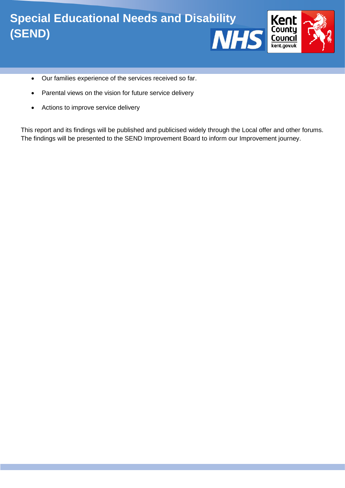

- Our families experience of the services received so far.
- Parental views on the vision for future service delivery
- Actions to improve service delivery

This report and its findings will be published and publicised widely through the Local offer and other forums. The findings will be presented to the SEND Improvement Board to inform our Improvement journey.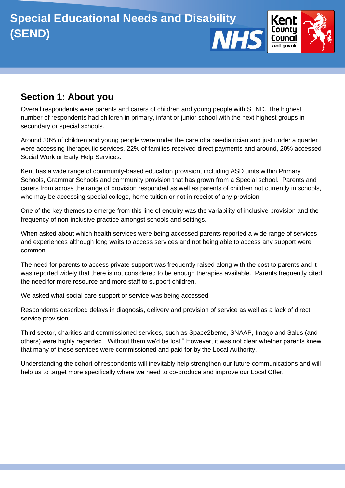

## <span id="page-3-0"></span>**Section 1: About you**

Overall respondents were parents and carers of children and young people with SEND. The highest number of respondents had children in primary, infant or junior school with the next highest groups in secondary or special schools.

Around 30% of children and young people were under the care of a paediatrician and just under a quarter were accessing therapeutic services. 22% of families received direct payments and around, 20% accessed Social Work or Early Help Services.

Kent has a wide range of community-based education provision, including ASD units within Primary Schools, Grammar Schools and community provision that has grown from a Special school. Parents and carers from across the range of provision responded as well as parents of children not currently in schools, who may be accessing special college, home tuition or not in receipt of any provision.

One of the key themes to emerge from this line of enquiry was the variability of inclusive provision and the frequency of non-inclusive practice amongst schools and settings.

When asked about which health services were being accessed parents reported a wide range of services and experiences although long waits to access services and not being able to access any support were common.

The need for parents to access private support was frequently raised along with the cost to parents and it was reported widely that there is not considered to be enough therapies available. Parents frequently cited the need for more resource and more staff to support children.

We asked what social care support or service was being accessed

Respondents described delays in diagnosis, delivery and provision of service as well as a lack of direct service provision.

Third sector, charities and commissioned services, such as Space2beme, SNAAP, Imago and Salus (and others) were highly regarded, "Without them we'd be lost." However, it was not clear whether parents knew that many of these services were commissioned and paid for by the Local Authority.

Understanding the cohort of respondents will inevitably help strengthen our future communications and will help us to target more specifically where we need to co-produce and improve our Local Offer.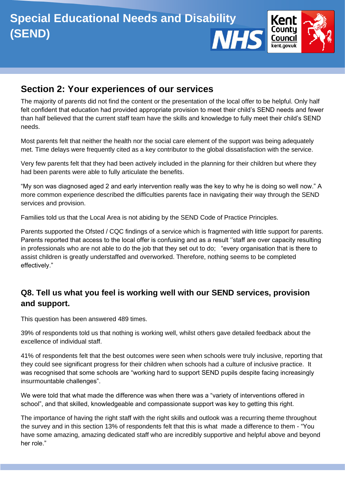

## <span id="page-4-0"></span>**Section 2: Your experiences of our services**

The majority of parents did not find the content or the presentation of the local offer to be helpful. Only half felt confident that education had provided appropriate provision to meet their child's SEND needs and fewer than half believed that the current staff team have the skills and knowledge to fully meet their child's SEND needs.

Most parents felt that neither the health nor the social care element of the support was being adequately met. Time delays were frequently cited as a key contributor to the global dissatisfaction with the service.

Very few parents felt that they had been actively included in the planning for their children but where they had been parents were able to fully articulate the benefits.

"My son was diagnosed aged 2 and early intervention really was the key to why he is doing so well now." A more common experience described the difficulties parents face in navigating their way through the SEND services and provision.

Families told us that the Local Area is not abiding by the SEND Code of Practice Principles.

Parents supported the Ofsted / CQC findings of a service which is fragmented with little support for parents. Parents reported that access to the local offer is confusing and as a result ''staff are over capacity resulting in professionals who are not able to do the job that they set out to do; "every organisation that is there to assist children is greatly understaffed and overworked. Therefore, nothing seems to be completed effectively."

## **Q8. Tell us what you feel is working well with our SEND services, provision and support.**

This question has been answered 489 times.

39% of respondents told us that nothing is working well, whilst others gave detailed feedback about the excellence of individual staff.

41% of respondents felt that the best outcomes were seen when schools were truly inclusive, reporting that they could see significant progress for their children when schools had a culture of inclusive practice. It was recognised that some schools are "working hard to support SEND pupils despite facing increasingly insurmountable challenges".

We were told that what made the difference was when there was a "variety of interventions offered in school", and that skilled, knowledgeable and compassionate support was key to getting this right.

The importance of having the right staff with the right skills and outlook was a recurring theme throughout the survey and in this section 13% of respondents felt that this is what made a difference to them - "You have some amazing, amazing dedicated staff who are incredibly supportive and helpful above and beyond her role."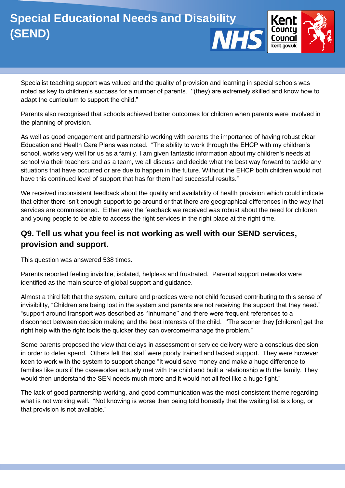

Specialist teaching support was valued and the quality of provision and learning in special schools was noted as key to children's success for a number of parents. ''(they) are extremely skilled and know how to adapt the curriculum to support the child."

Parents also recognised that schools achieved better outcomes for children when parents were involved in the planning of provision.

As well as good engagement and partnership working with parents the importance of having robust clear Education and Health Care Plans was noted. "The ability to work through the EHCP with my children's school, works very well for us as a family. I am given fantastic information about my children's needs at school via their teachers and as a team, we all discuss and decide what the best way forward to tackle any situations that have occurred or are due to happen in the future. Without the EHCP both children would not have this continued level of support that has for them had successful results."

We received inconsistent feedback about the quality and availability of health provision which could indicate that either there isn't enough support to go around or that there are geographical differences in the way that services are commissioned. Either way the feedback we received was robust about the need for children and young people to be able to access the right services in the right place at the right time.

## **Q9. Tell us what you feel is not working as well with our SEND services, provision and support.**

This question was answered 538 times.

Parents reported feeling invisible, isolated, helpless and frustrated. Parental support networks were identified as the main source of global support and guidance.

Almost a third felt that the system, culture and practices were not child focused contributing to this sense of invisibility, "Children are being lost in the system and parents are not receiving the support that they need." "support around transport was described as ''inhumane'' and there were frequent references to a disconnect between decision making and the best interests of the child. ''The sooner they [children] get the right help with the right tools the quicker they can overcome/manage the problem."

Some parents proposed the view that delays in assessment or service delivery were a conscious decision in order to defer spend. Others felt that staff were poorly trained and lacked support. They were however keen to work with the system to support change "It would save money and make a huge difference to families like ours if the caseworker actually met with the child and built a relationship with the family. They would then understand the SEN needs much more and it would not all feel like a huge fight."

The lack of good partnership working, and good communication was the most consistent theme regarding what is not working well. "Not knowing is worse than being told honestly that the waiting list is x long, or that provision is not available."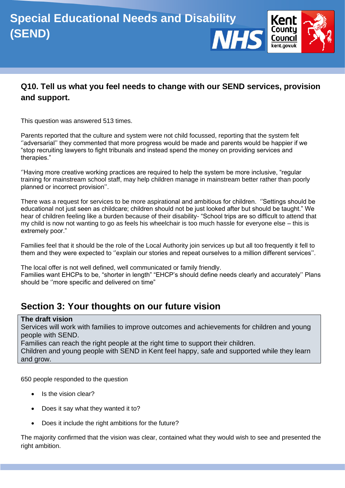

## **Q10. Tell us what you feel needs to change with our SEND services, provision and support.**

This question was answered 513 times.

Parents reported that the culture and system were not child focussed, reporting that the system felt ''adversarial'' they commented that more progress would be made and parents would be happier if we "stop recruiting lawyers to fight tribunals and instead spend the money on providing services and therapies."

''Having more creative working practices are required to help the system be more inclusive, "regular training for mainstream school staff, may help children manage in mainstream better rather than poorly planned or incorrect provision''.

There was a request for services to be more aspirational and ambitious for children. ''Settings should be educational not just seen as childcare; children should not be just looked after but should be taught." We hear of children feeling like a burden because of their disability- "School trips are so difficult to attend that my child is now not wanting to go as feels his wheelchair is too much hassle for everyone else – this is extremely poor."

Families feel that it should be the role of the Local Authority join services up but all too frequently it fell to them and they were expected to ''explain our stories and repeat ourselves to a million different services''.

The local offer is not well defined, well communicated or family friendly. Families want EHCPs to be, "shorter in length" "EHCP's should define needs clearly and accurately'' Plans should be ''more specific and delivered on time"

## <span id="page-6-0"></span>**Section 3: Your thoughts on our future vision**

#### **The draft vision**

Services will work with families to improve outcomes and achievements for children and young people with SEND.

Families can reach the right people at the right time to support their children.

Children and young people with SEND in Kent feel happy, safe and supported while they learn and grow.

650 people responded to the question

- Is the vision clear?
- Does it say what they wanted it to?
- Does it include the right ambitions for the future?

The majority confirmed that the vision was clear, contained what they would wish to see and presented the right ambition.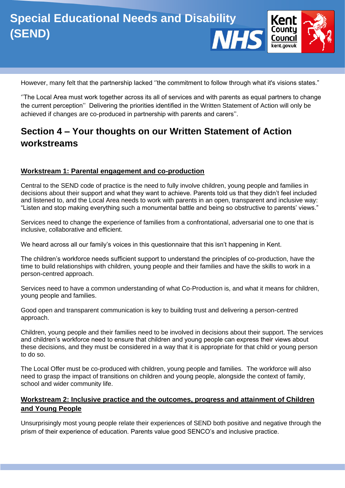However, many felt that the partnership lacked "the commitment to follow through what it's visions states."

''The Local Area must work together across its all of services and with parents as equal partners to change the current perception'' Delivering the priorities identified in the Written Statement of Action will only be achieved if changes are co-produced in partnership with parents and carers''.

## <span id="page-7-0"></span>**Section 4 – Your thoughts on our Written Statement of Action workstreams**

#### **Workstream 1: Parental engagement and co-production**

Central to the SEND code of practice is the need to fully involve children, young people and families in decisions about their support and what they want to achieve. Parents told us that they didn't feel included and listened to, and the Local Area needs to work with parents in an open, transparent and inclusive way: "Listen and stop making everything such a monumental battle and being so obstructive to parents' views."

Services need to change the experience of families from a confrontational, adversarial one to one that is inclusive, collaborative and efficient.

We heard across all our family's voices in this questionnaire that this isn't happening in Kent.

The children's workforce needs sufficient support to understand the principles of co-production, have the time to build relationships with children, young people and their families and have the skills to work in a person-centred approach.

Services need to have a common understanding of what Co-Production is, and what it means for children, young people and families.

Good open and transparent communication is key to building trust and delivering a person-centred approach.

Children, young people and their families need to be involved in decisions about their support. The services and children's workforce need to ensure that children and young people can express their views about these decisions, and they must be considered in a way that it is appropriate for that child or young person to do so.

The Local Offer must be co-produced with children, young people and families. The workforce will also need to grasp the impact of transitions on children and young people, alongside the context of family, school and wider community life.

#### **Workstream 2: Inclusive practice and the outcomes, progress and attainment of Children and Young People**

Unsurprisingly most young people relate their experiences of SEND both positive and negative through the prism of their experience of education. Parents value good SENCO's and inclusive practice.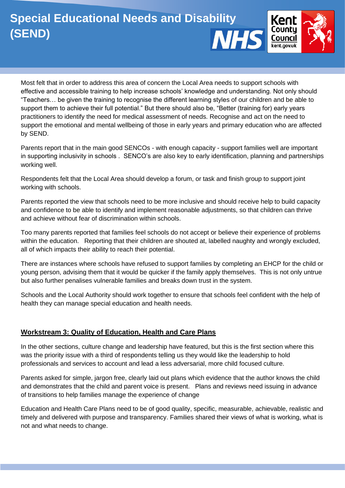

Most felt that in order to address this area of concern the Local Area needs to support schools with effective and accessible training to help increase schools' knowledge and understanding. Not only should "Teachers… be given the training to recognise the different learning styles of our children and be able to support them to achieve their full potential." But there should also be, "Better (training for) early years practitioners to identify the need for medical assessment of needs. Recognise and act on the need to support the emotional and mental wellbeing of those in early years and primary education who are affected by SEND.

Parents report that in the main good SENCOs - with enough capacity - support families well are important in supporting inclusivity in schools . SENCO's are also key to early identification, planning and partnerships working well.

Respondents felt that the Local Area should develop a forum, or task and finish group to support joint working with schools.

Parents reported the view that schools need to be more inclusive and should receive help to build capacity and confidence to be able to identify and implement reasonable adjustments, so that children can thrive and achieve without fear of discrimination within schools.

Too many parents reported that families feel schools do not accept or believe their experience of problems within the education. Reporting that their children are shouted at, labelled naughty and wrongly excluded, all of which impacts their ability to reach their potential.

There are instances where schools have refused to support families by completing an EHCP for the child or young person, advising them that it would be quicker if the family apply themselves. This is not only untrue but also further penalises vulnerable families and breaks down trust in the system.

Schools and the Local Authority should work together to ensure that schools feel confident with the help of health they can manage special education and health needs.

#### **Workstream 3: Quality of Education, Health and Care Plans**

In the other sections, culture change and leadership have featured, but this is the first section where this was the priority issue with a third of respondents telling us they would like the leadership to hold professionals and services to account and lead a less adversarial, more child focused culture.

Parents asked for simple, jargon free, clearly laid out plans which evidence that the author knows the child and demonstrates that the child and parent voice is present. Plans and reviews need issuing in advance of transitions to help families manage the experience of change

Education and Health Care Plans need to be of good quality, specific, measurable, achievable, realistic and timely and delivered with purpose and transparency. Families shared their views of what is working, what is not and what needs to change.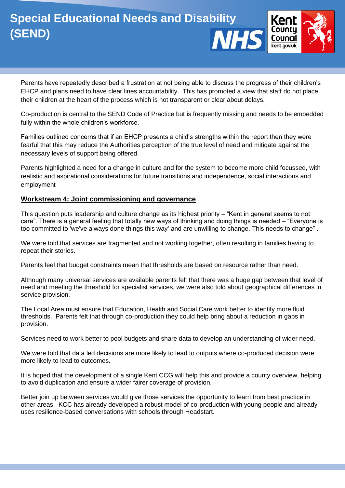

Parents have repeatedly described a frustration at not being able to discuss the progress of their children's EHCP and plans need to have clear lines accountability. This has promoted a view that staff do not place their children at the heart of the process which is not transparent or clear about delays.

Co-production is central to the SEND Code of Practice but is frequently missing and needs to be embedded fully within the whole children's workforce.

Families outlined concerns that if an EHCP presents a child's strengths within the report then they were fearful that this may reduce the Authorities perception of the true level of need and mitigate against the necessary levels of support being offered.

Parents highlighted a need for a change in culture and for the system to become more child focussed, with realistic and aspirational considerations for future transitions and independence, social interactions and employment

#### **Workstream 4: Joint commissioning and governance**

This question puts leadership and culture change as its highest priority – "Kent in general seems to not care". There is a general feeling that totally new ways of thinking and doing things is needed – "Everyone is too committed to 'we've always done things this way' and are unwilling to change. This needs to change" .

We were told that services are fragmented and not working together, often resulting in families having to repeat their stories.

Parents feel that budget constraints mean that thresholds are based on resource rather than need.

Although many universal services are available parents felt that there was a huge gap between that level of need and meeting the threshold for specialist services, we were also told about geographical differences in service provision.

The Local Area must ensure that Education, Health and Social Care work better to identify more fluid thresholds. Parents felt that through co-production they could help bring about a reduction in gaps in provision.

Services need to work better to pool budgets and share data to develop an understanding of wider need.

We were told that data led decisions are more likely to lead to outputs where co-produced decision were more likely to lead to outcomes.

It is hoped that the development of a single Kent CCG will help this and provide a county overview, helping to avoid duplication and ensure a wider fairer coverage of provision.

Better join up between services would give those services the opportunity to learn from best practice in other areas. KCC has already developed a robust model of co-production with young people and already uses resilience-based conversations with schools through Headstart.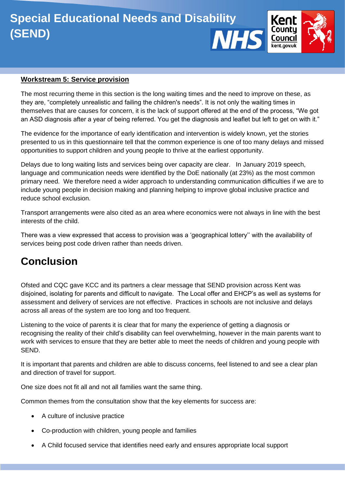

#### **Workstream 5: Service provision**

The most recurring theme in this section is the long waiting times and the need to improve on these, as they are, "completely unrealistic and failing the children's needs". It is not only the waiting times in themselves that are causes for concern, it is the lack of support offered at the end of the process, "We got an ASD diagnosis after a year of being referred. You get the diagnosis and leaflet but left to get on with it."

The evidence for the importance of early identification and intervention is widely known, yet the stories presented to us in this questionnaire tell that the common experience is one of too many delays and missed opportunities to support children and young people to thrive at the earliest opportunity.

Delays due to long waiting lists and services being over capacity are clear. In January 2019 speech, language and communication needs were identified by the DoE nationally (at 23%) as the most common primary need. We therefore need a wider approach to understanding communication difficulties if we are to include young people in decision making and planning helping to improve global inclusive practice and reduce school exclusion.

Transport arrangements were also cited as an area where economics were not always in line with the best interests of the child.

There was a view expressed that access to provision was a 'geographical lottery'' with the availability of services being post code driven rather than needs driven.

## <span id="page-10-0"></span>**Conclusion**

Ofsted and CQC gave KCC and its partners a clear message that SEND provision across Kent was disjoined, isolating for parents and difficult to navigate. The Local offer and EHCP's as well as systems for assessment and delivery of services are not effective. Practices in schools are not inclusive and delays across all areas of the system are too long and too frequent.

Listening to the voice of parents it is clear that for many the experience of getting a diagnosis or recognising the reality of their child's disability can feel overwhelming, however in the main parents want to work with services to ensure that they are better able to meet the needs of children and young people with SEND.

It is important that parents and children are able to discuss concerns, feel listened to and see a clear plan and direction of travel for support.

One size does not fit all and not all families want the same thing.

Common themes from the consultation show that the key elements for success are:

- A culture of inclusive practice
- Co-production with children, young people and families
- A Child focused service that identifies need early and ensures appropriate local support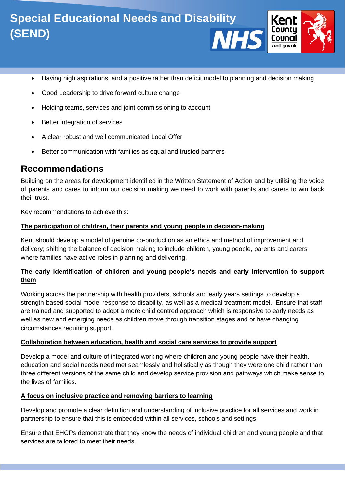

- Having high aspirations, and a positive rather than deficit model to planning and decision making
- Good Leadership to drive forward culture change
- Holding teams, services and joint commissioning to account
- Better integration of services
- A clear robust and well communicated Local Offer
- Better communication with families as equal and trusted partners

## <span id="page-11-0"></span>**Recommendations**

Building on the areas for development identified in the Written Statement of Action and by utilising the voice of parents and cares to inform our decision making we need to work with parents and carers to win back their trust.

Key recommendations to achieve this:

#### **The participation of children, their parents and young people in decision-making**

Kent should develop a model of genuine co-production as an ethos and method of improvement and delivery; shifting the balance of decision making to include children, young people, parents and carers where families have active roles in planning and delivering,

#### **The early identification of children and young people's needs and early intervention to support them**

Working across the partnership with health providers, schools and early years settings to develop a strength-based social model response to disability, as well as a medical treatment model. Ensure that staff are trained and supported to adopt a more child centred approach which is responsive to early needs as well as new and emerging needs as children move through transition stages and or have changing circumstances requiring support.

#### **Collaboration between education, health and social care services to provide support**

Develop a model and culture of integrated working where children and young people have their health, education and social needs need met seamlessly and holistically as though they were one child rather than three different versions of the same child and develop service provision and pathways which make sense to the lives of families.

#### **A focus on inclusive practice and removing barriers to learning**

Develop and promote a clear definition and understanding of inclusive practice for all services and work in partnership to ensure that this is embedded within all services, schools and settings.

Ensure that EHCPs demonstrate that they know the needs of individual children and young people and that services are tailored to meet their needs.